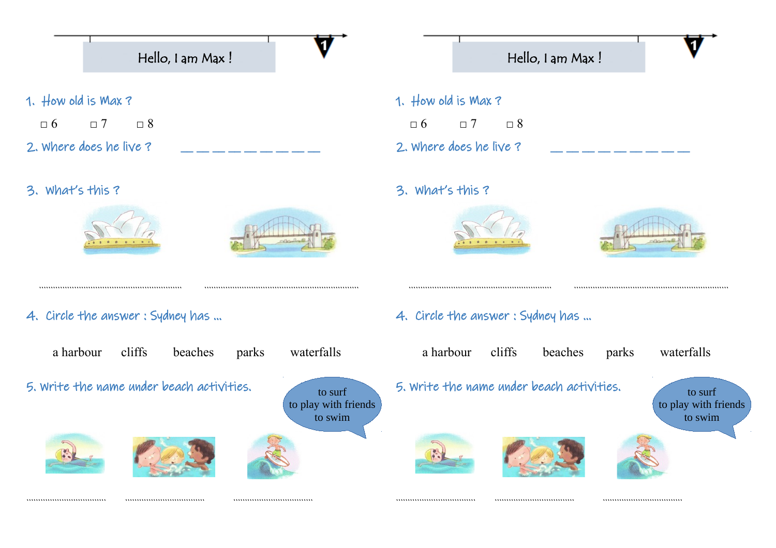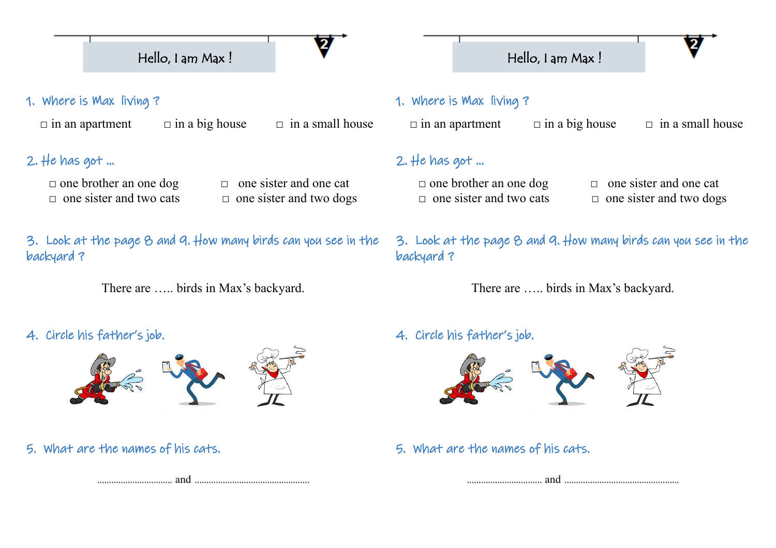# Hello, I am Max !

1. Where is Max living ?

 $\Box$  in an apartment  $\Box$  in a big house  $\Box$  in a small house

L

# 2. He has got  $\ldots$

□ one brother an one dog □ one sister and one cat

□ one sister and two cats □ one sister and two dogs

3. Look at the page 8 and 9. How many birds can you see in the backyard ?

There are ….. birds in Max's backyard.

# 4. Circle his father's job.



5. What are the names of his cats.



## 1. Where is Max living ?

 $\Box$  in an apartment  $\Box$  in a big house  $\Box$  in a small house

L

Hello, I am Max !

# $2.$  He has got  $\ldots$

 □ one brother an one dog □ one sister and one cat □ one sister and two cats □ one sister and two dogs

- 
- 

3. Look at the page 8 and 9. How many birds can you see in the backyard ?

There are ….. birds in Max's backyard.

### 4. Circle his father's job.



5. What are the names of his cats.

………………………….. and ………………………………………….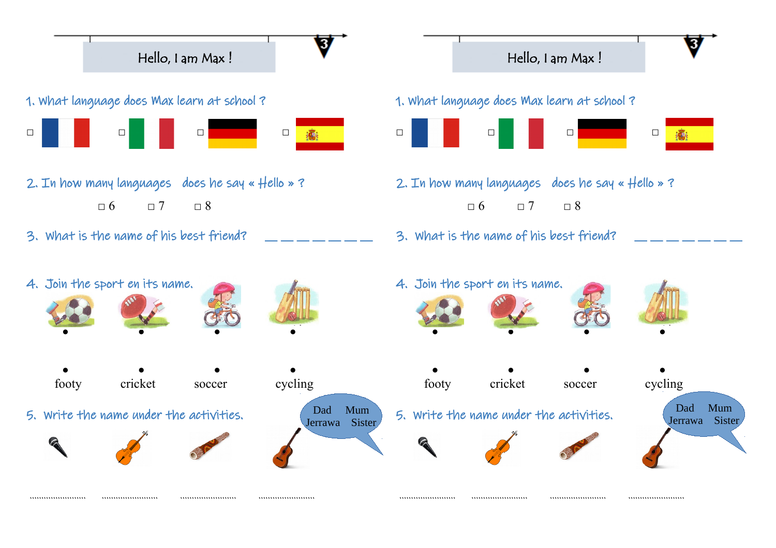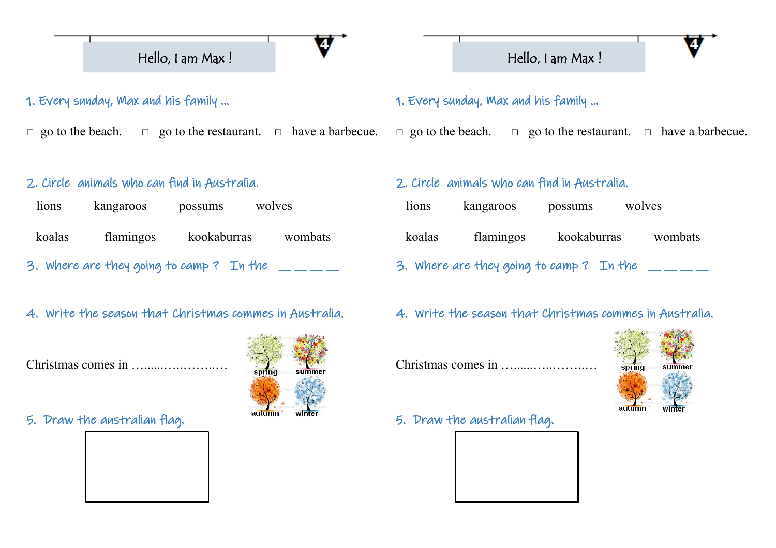

1. Every sunday, Max and his family ...

□ go to the beach.  $□$  go to the restaurant.  $□$  have a barbecue.

L

#### 2. Circle animals who can find in Australia.

| lions  | kangaroos                               | possums     | wolves  |
|--------|-----------------------------------------|-------------|---------|
| koalas | flamingos                               | kookaburras | wombats |
|        | 3. Where are they going to camp? In the |             |         |

#### 4. Write the season that Christmas commes in Australia.

Christmas comes in …......…..……..…



### 5. Draw the australian flag.



# 1. Every sunday, Max and his family ...

□ go to the beach.  $□$  go to the restaurant.  $□$  have a barbecue.

L

Hello, I am Max !

#### 2. Circle animals who can find in Australia.

| lions  | kangaroos                               | possums     | wolves  |
|--------|-----------------------------------------|-------------|---------|
| koalas | flamingos                               | kookaburras | wombats |
|        | 3. Where are they going to camp? In the |             |         |

#### 4. Write the season that Christmas commes in Australia.

Christmas comes in …......…..……..…



5. Draw the australian flag.